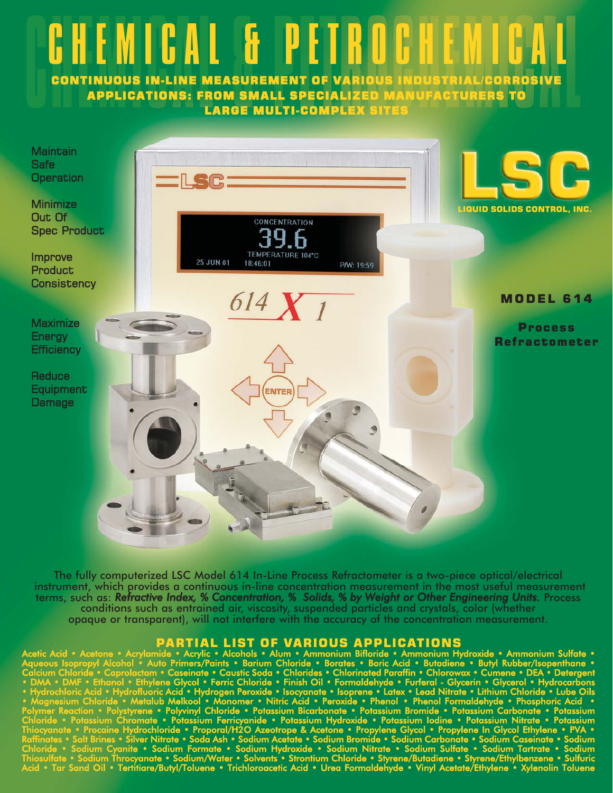

The fully computerized LSC Model 614 In-Line Process Refractometer is a two-piece optical/electrical instrument, which provides a continuous in-line concentration measurement in the most useful measurement terms, such as: *Refractive Index, % Concentration, % Solids, % by Weight or Other Engineering Units.* Process conditions such as entrained air, viscosity, suspended particles and crystals, color (whether opaque or transparent), will not interfere with the accuracy of the concentration measurement.

**PARTIAL LIST OF VARIOUS APPLICATIONS**<br>ide : Acrylic : Alcohols · Alum · Ammonium Bifloride : Ammonium Hyd Acetic Acid •• Acetone • Acrylamide • Acrylic • Alcohols • Alum • Ammonium Bifloride • Ammonium Hydroxide • Ammonium Sulfate • Aqueous Isopropyl Alcohol • Auto Primers/Paints • Barium Chloride • Borates • Boric Acid • Butadiene • Butyl Rubber/Isopenthane • Calcium Chloride • Caprolactam • Caseinate • Caustic Soda • Chlorides • Chlorinated Paraffin • Chlorowax • Cumene • DEA • Detergent • DMA • DMF • Ethanol • Ethylene Glycol • Ferric Chloride • Finish Oil • Formaldehyde • Furferal - Glycerin • Glycerol • Hydrocarbons • Hydrochloric Acid • Hydrofluoric Acid • Hydrogen Peroxide • Isocyanate • Isoprene • Latex • Lead Nitrate • Lithium Chloride • Lube Oils • Magnesium Chloride • Metalub Melkool • Monomer • Nitric Acid • Peroxide • Phenol • Phenol Formaldehyde • Phosphoric Acid • Polymer Reaction • Polystyrene • Polyvinyl Chloride • Potassium Bicarbonate • Potassium Bromide • Potassium Carbonate • Potassium Chloride • Potassium Chromate • Potassium Ferricyanide • Potassium Hydroxide • Potassium Iodine • Potassium Nitrate • Potassium Thiocyanate • Procaine Hydrochloride • Proporal/H2O Azeotrope & Acetone • Propylene Glycol • Propylene In Glycol Ethylene • PVA • Raffinates • Salt Brines • Silver Nitrate • Soda Ash • Sodium Acetate • Sodium Bromide • Sodium Carbonate • Sodium Caseinate • Sodium Chloride • Sodium Cyanite • Sodium Formate • Sodium Hydroxide • Sodium Nitrate • Sodium Sulfate • Sodium Tartrate • Sodium Thiosulfate • Sodium Throcyanate • Sodium/Water • Solvents • Strontium Chloride • Styrene/Butadiene • Styrene/Ethylbenzene • Sulfuric Acid • Tar Sand Oil • Tertitiare/Butyl/Toluene • Trichloroacetic Acid • Urea Formaldehyde • Vinyl Acetate/Ethylene • Xylenolin Toluene